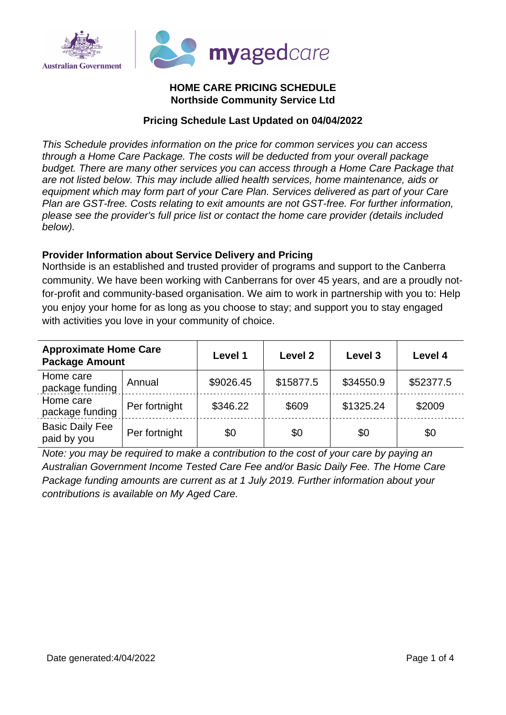

## **HOME CARE PRICING SCHEDULE Northside Community Service Ltd**

## **Pricing Schedule Last Updated on 04/04/2022**

This Schedule provides information on the price for common services you can access through a Home Care Package. The costs will be deducted from your overall package budget. There are many other services you can access through a Home Care Package that are not listed below. This may include allied health services, home maintenance, aids or equipment which may form part of your Care Plan. Services delivered as part of your Care Plan are GST-free. Costs relating to exit amounts are not GST-free. For further information, please see the provider's full price list or contact the home care provider (details included below).

### **Provider Information about Service Delivery and Pricing**

Northside is an established and trusted provider of programs and support to the Canberra community. We have been working with Canberrans for over 45 years, and are a proudly notfor-profit and community-based organisation. We aim to work in partnership with you to: Help you enjoy your home for as long as you choose to stay; and support you to stay engaged with activities you love in your community of choice.

| <b>Approximate Home Care</b><br><b>Package Amount</b> |               | Level 1   | Level 2   | Level 3   | Level 4   |
|-------------------------------------------------------|---------------|-----------|-----------|-----------|-----------|
| Home care<br>package funding                          | Annual        | \$9026.45 | \$15877.5 | \$34550.9 | \$52377.5 |
| Home care<br>package funding                          | Per fortnight | \$346.22  | \$609     | \$1325.24 | \$2009    |
| <b>Basic Daily Fee</b><br>paid by you                 | Per fortnight | \$0       | \$0       | \$0       | \$0       |

Note: you may be required to make a contribution to the cost of your care by paying an Australian Government Income Tested Care Fee and/or Basic Daily Fee. The Home Care Package funding amounts are current as at 1 July 2019. Further information about your contributions is available on My Aged Care.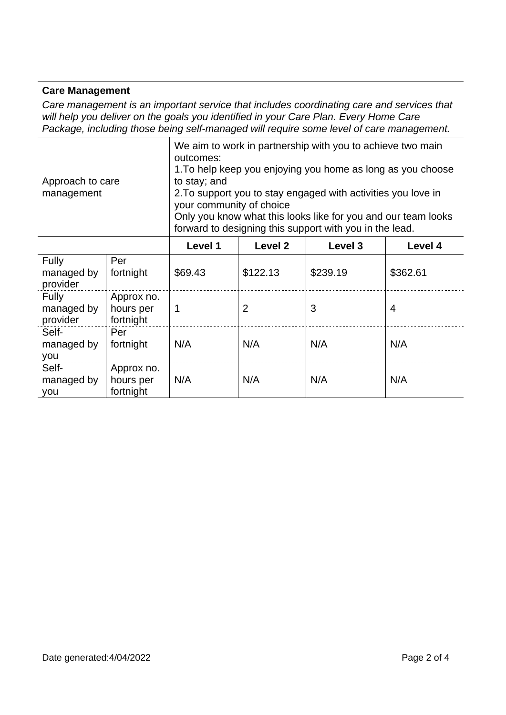#### **Care Management**

Care management is an important service that includes coordinating care and services that will help you deliver on the goals you identified in your Care Plan. Every Home Care Package, including those being self-managed will require some level of care management.

> We aim to work in partnership with you to achieve two main outcomes: 1. To help keep you enjoying you home as long as you choose to stay; and

Approach to care management

2. To support you to stay engaged with activities you love in your community of choice

Only you know what this looks like for you and our team looks forward to designing this support with you in the lead.

|                                        |                                      | Level 1 | Level 2        | Level 3  | Level 4        |
|----------------------------------------|--------------------------------------|---------|----------------|----------|----------------|
| Fully<br>managed by<br>provider        | Per<br>fortnight                     | \$69.43 | \$122.13       | \$239.19 | \$362.61       |
| <b>Fully</b><br>managed by<br>provider | Approx no.<br>hours per<br>fortnight | 1       | $\overline{2}$ | 3        | $\overline{4}$ |
| Self-<br>managed by<br>you             | Per<br>fortnight                     | N/A     | N/A            | N/A      | N/A            |
| Self-<br>managed by<br>you             | Approx no.<br>hours per<br>fortnight | N/A     | N/A            | N/A      | N/A            |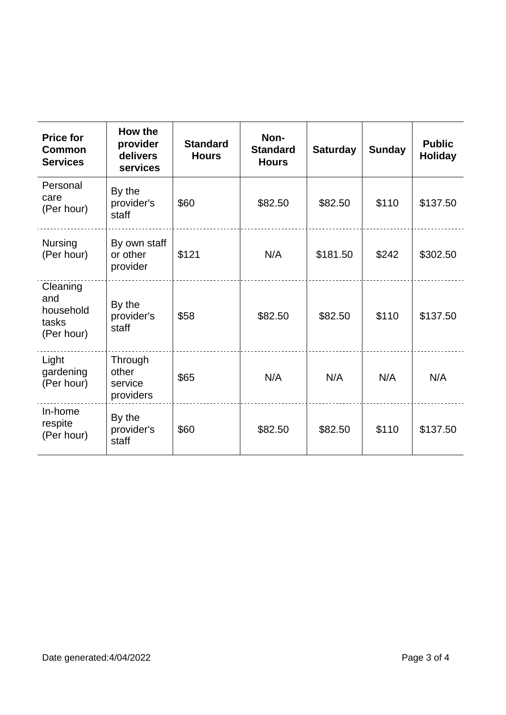| <b>Price for</b><br><b>Common</b><br><b>Services</b> | How the<br>provider<br>delivers<br>services | <b>Standard</b><br><b>Hours</b> | Non-<br><b>Standard</b><br><b>Hours</b> | <b>Saturday</b> | <b>Sunday</b> | <b>Public</b><br><b>Holiday</b> |
|------------------------------------------------------|---------------------------------------------|---------------------------------|-----------------------------------------|-----------------|---------------|---------------------------------|
| Personal<br>care<br>(Per hour)                       | By the<br>provider's<br>staff               | \$60                            | \$82.50                                 | \$82.50         | \$110         | \$137.50                        |
| <b>Nursing</b><br>(Per hour)                         | By own staff<br>or other<br>provider        | \$121                           | N/A                                     | \$181.50        | \$242         | \$302.50                        |
| Cleaning<br>and<br>household<br>tasks<br>(Per hour)  | By the<br>provider's<br>staff               | \$58                            | \$82.50                                 | \$82.50         | \$110         | \$137.50                        |
| Light<br>gardening<br>(Per hour)                     | Through<br>other<br>service<br>providers    | \$65                            | N/A                                     | N/A             | N/A           | N/A                             |
| In-home<br>respite<br>(Per hour)                     | By the<br>provider's<br>staff               | \$60                            | \$82.50                                 | \$82.50         | \$110         | \$137.50                        |